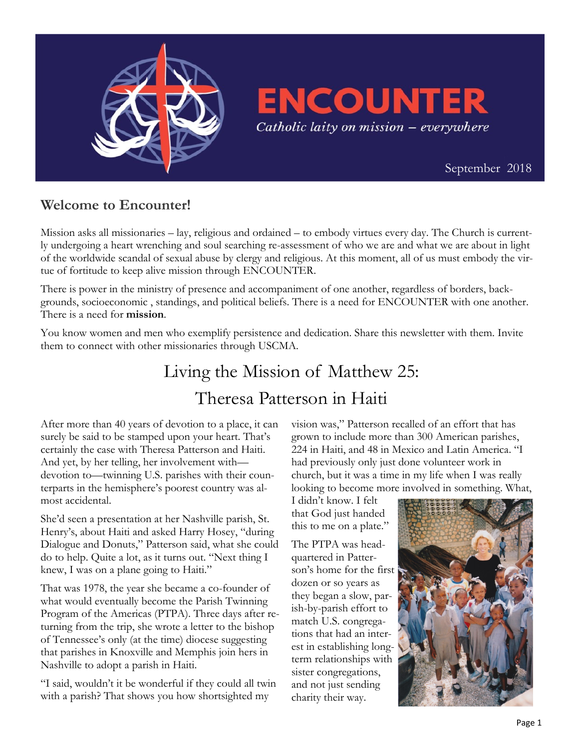

**ENCOUNTER** Catholic laity on mission - everywhere

 [September 2018](https://uscatholicmission.org/encounter)

## **Welcome to Encounter!**

Mission asks all missionaries – lay, religious and ordained – to embody virtues every day. The Church is currently undergoing a heart wrenching and soul searching re-assessment of who we are and what we are about in light of the worldwide scandal of sexual abuse by clergy and religious. At this moment, all of us must embody the virtue of fortitude to keep alive mission through ENCOUNTER.

There is power in the ministry of presence and accompaniment of one another, regardless of borders, backgrounds, socioeconomic , standings, and political beliefs. There is a need for ENCOUNTER with one another. There is a need for **mission**.

You know women and men who exemplify persistence and dedication. Share this newsletter with them. Invite them to connect with other missionaries through USCMA.

## Living the Mission of Matthew 25: Theresa Patterson in Haiti

After more than 40 years of devotion to a place, it can surely be said to be stamped upon your heart. That's certainly the case with Theresa Patterson and Haiti. And yet, by her telling, her involvement with devotion to—twinning U.S. parishes with their counterparts in the hemisphere's poorest country was almost accidental.

She'd seen a presentation at her Nashville parish, St. Henry's, about Haiti and asked Harry Hosey, "during Dialogue and Donuts," Patterson said, what she could do to help. Quite a lot, as it turns out. "Next thing I knew, I was on a plane going to Haiti."

That was 1978, the year she became a co-founder of what would eventually become the Parish Twinning Program of the Americas (PTPA). Three days after returning from the trip, she wrote a letter to the bishop of Tennessee's only (at the time) diocese suggesting that parishes in Knoxville and Memphis join hers in Nashville to adopt a parish in Haiti.

"I said, wouldn't it be wonderful if they could all twin with a parish? That shows you how shortsighted my

vision was," Patterson recalled of an effort that has grown to include more than 300 American parishes, 224 in Haiti, and 48 in Mexico and Latin America. "I had previously only just done volunteer work in church, but it was a time in my life when I was really looking to become more involved in something. What,

I didn't know. I felt that God just handed this to me on a plate."

The PTPA was headquartered in Patterson's home for the first dozen or so years as they began a slow, parish-by-parish effort to match U.S. congregations that had an interest in establishing longterm relationships with sister congregations, and not just sending charity their way.

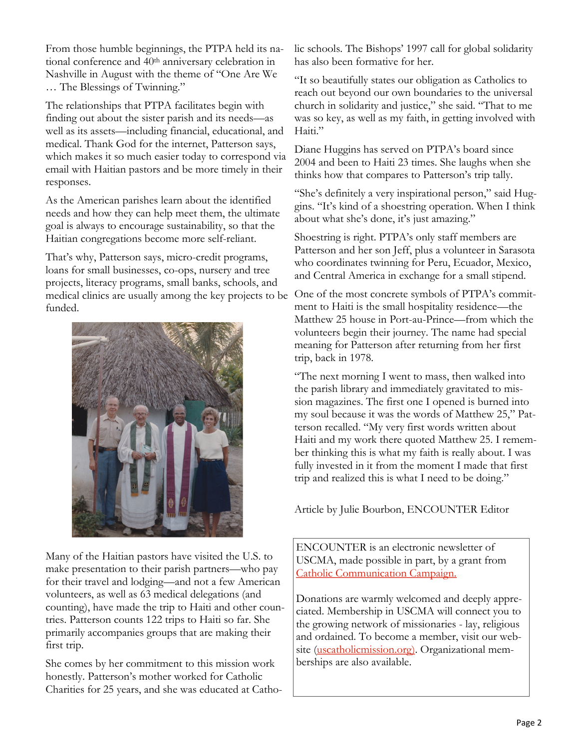From those humble beginnings, the PTPA held its national conference and 40th anniversary celebration in Nashville in August with the theme of "One Are We … The Blessings of Twinning."

The relationships that PTPA facilitates begin with finding out about the sister parish and its needs—as well as its assets—including financial, educational, and medical. Thank God for the internet, Patterson says, which makes it so much easier today to correspond via email with Haitian pastors and be more timely in their responses.

As the American parishes learn about the identified needs and how they can help meet them, the ultimate goal is always to encourage sustainability, so that the Haitian congregations become more self-reliant.

That's why, Patterson says, micro-credit programs, loans for small businesses, co-ops, nursery and tree projects, literacy programs, small banks, schools, and medical clinics are usually among the key projects to be funded.



Many of the Haitian pastors have visited the U.S. to make presentation to their parish partners—who pay for their travel and lodging—and not a few American volunteers, as well as 63 medical delegations (and counting), have made the trip to Haiti and other countries. Patterson counts 122 trips to Haiti so far. She primarily accompanies groups that are making their first trip.

She comes by her commitment to this mission work honestly. Patterson's mother worked for Catholic Charities for 25 years, and she was educated at Catholic schools. The Bishops' 1997 call for global solidarity has also been formative for her.

"It so beautifully states our obligation as Catholics to reach out beyond our own boundaries to the universal church in solidarity and justice," she said. "That to me was so key, as well as my faith, in getting involved with Haiti."

Diane Huggins has served on PTPA's board since 2004 and been to Haiti 23 times. She laughs when she thinks how that compares to Patterson's trip tally.

"She's definitely a very inspirational person," said Huggins. "It's kind of a shoestring operation. When I think about what she's done, it's just amazing."

Shoestring is right. PTPA's only staff members are Patterson and her son Jeff, plus a volunteer in Sarasota who coordinates twinning for Peru, Ecuador, Mexico, and Central America in exchange for a small stipend.

One of the most concrete symbols of PTPA's commitment to Haiti is the small hospitality residence—the Matthew 25 house in Port-au-Prince—from which the volunteers begin their journey. The name had special meaning for Patterson after returning from her first trip, back in 1978.

"The next morning I went to mass, then walked into the parish library and immediately gravitated to mission magazines. The first one I opened is burned into my soul because it was the words of Matthew 25," Patterson recalled. "My very first words written about Haiti and my work there quoted Matthew 25. I remember thinking this is what my faith is really about. I was fully invested in it from the moment I made that first trip and realized this is what I need to be doing."

Article by Julie Bourbon, ENCOUNTER Editor

ENCOUNTER is an electronic newsletter of USCMA, made possible in part, by a grant from [Catholic Communication Campaign.](http://www.usccb.org/catholic-giving/opportunities-for-giving/catholic-communication-campaign/index.cfm)

Donations are warmly welcomed and deeply appreciated. Membership in USCMA will connect you to the growing network of missionaries - lay, religious and ordained. To become a member, visit our web-site [\(uscatholicmission.org\).](https://uscatholicmission.org/) Organizational memberships are also available.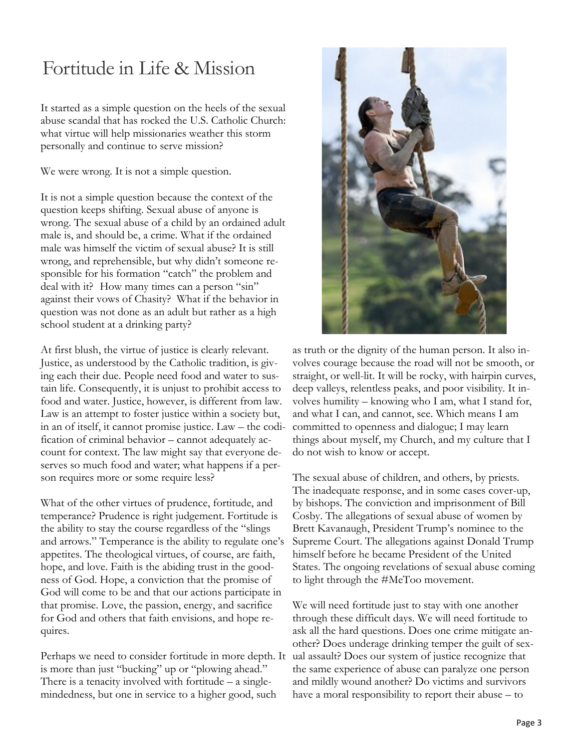## Fortitude in Life & Mission

It started as a simple question on the heels of the sexual abuse scandal that has rocked the U.S. Catholic Church: what virtue will help missionaries weather this storm personally and continue to serve mission?

We were wrong. It is not a simple question.

It is not a simple question because the context of the question keeps shifting. Sexual abuse of anyone is wrong. The sexual abuse of a child by an ordained adult male is, and should be, a crime. What if the ordained male was himself the victim of sexual abuse? It is still wrong, and reprehensible, but why didn't someone responsible for his formation "catch" the problem and deal with it? How many times can a person "sin" against their vows of Chasity? What if the behavior in question was not done as an adult but rather as a high school student at a drinking party?

At first blush, the virtue of justice is clearly relevant. Justice, as understood by the Catholic tradition, is giving each their due. People need food and water to sustain life. Consequently, it is unjust to prohibit access to food and water. Justice, however, is different from law. Law is an attempt to foster justice within a society but, in an of itself, it cannot promise justice. Law – the codification of criminal behavior – cannot adequately account for context. The law might say that everyone deserves so much food and water; what happens if a person requires more or some require less?

What of the other virtues of prudence, fortitude, and temperance? Prudence is right judgement. Fortitude is the ability to stay the course regardless of the "slings and arrows." Temperance is the ability to regulate one's appetites. The theological virtues, of course, are faith, hope, and love. Faith is the abiding trust in the goodness of God. Hope, a conviction that the promise of God will come to be and that our actions participate in that promise. Love, the passion, energy, and sacrifice for God and others that faith envisions, and hope requires.

Perhaps we need to consider fortitude in more depth. It is more than just "bucking" up or "plowing ahead." There is a tenacity involved with fortitude – a singlemindedness, but one in service to a higher good, such



as truth or the dignity of the human person. It also involves courage because the road will not be smooth, or straight, or well-lit. It will be rocky, with hairpin curves, deep valleys, relentless peaks, and poor visibility. It involves humility – knowing who I am, what I stand for, and what I can, and cannot, see. Which means I am committed to openness and dialogue; I may learn things about myself, my Church, and my culture that I do not wish to know or accept.

The sexual abuse of children, and others, by priests. The inadequate response, and in some cases cover-up, by bishops. The conviction and imprisonment of Bill Cosby. The allegations of sexual abuse of women by Brett Kavanaugh, President Trump's nominee to the Supreme Court. The allegations against Donald Trump himself before he became President of the United States. The ongoing revelations of sexual abuse coming to light through the #MeToo movement.

We will need fortitude just to stay with one another through these difficult days. We will need fortitude to ask all the hard questions. Does one crime mitigate another? Does underage drinking temper the guilt of sexual assault? Does our system of justice recognize that the same experience of abuse can paralyze one person and mildly wound another? Do victims and survivors have a moral responsibility to report their abuse – to